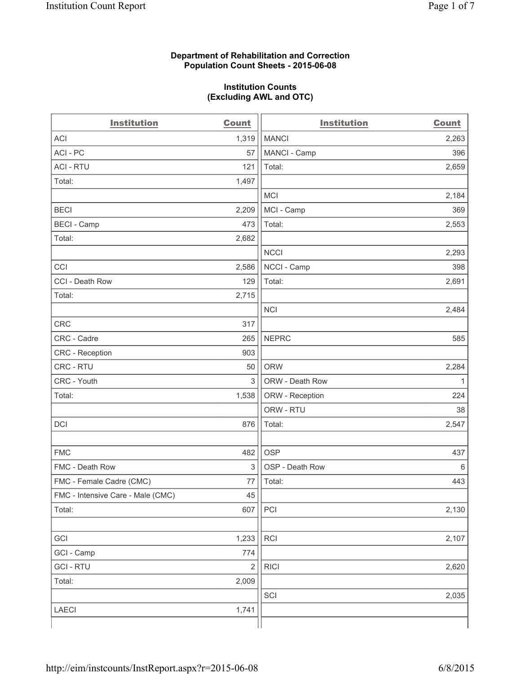## **Department of Rehabilitation and Correction Population Count Sheets - 2015-06-08**

## **Institution Counts (Excluding AWL and OTC)**

| <b>Institution</b>                | <b>Count</b>            | <b>Institution</b> | <b>Count</b> |
|-----------------------------------|-------------------------|--------------------|--------------|
| <b>ACI</b>                        | 1,319                   | <b>MANCI</b>       | 2,263        |
| ACI - PC                          | 57                      | MANCI - Camp       | 396          |
| <b>ACI - RTU</b>                  | 121                     | Total:             | 2,659        |
| Total:                            | 1,497                   |                    |              |
|                                   |                         | <b>MCI</b>         | 2,184        |
| <b>BECI</b>                       | 2,209                   | MCI - Camp         | 369          |
| <b>BECI</b> - Camp                | 473                     | Total:             | 2,553        |
| Total:                            | 2,682                   |                    |              |
|                                   |                         | <b>NCCI</b>        | 2,293        |
| CCI                               | 2,586                   | NCCI - Camp        | 398          |
| CCI - Death Row                   | 129                     | Total:             | 2,691        |
| Total:                            | 2,715                   |                    |              |
|                                   |                         | <b>NCI</b>         | 2,484        |
| <b>CRC</b>                        | 317                     |                    |              |
| CRC - Cadre                       | 265                     | <b>NEPRC</b>       | 585          |
| CRC - Reception                   | 903                     |                    |              |
| CRC - RTU                         | 50                      | <b>ORW</b>         | 2,284        |
| CRC - Youth                       | 3                       | ORW - Death Row    | $\mathbf{1}$ |
| Total:                            | 1,538                   | ORW - Reception    | 224          |
|                                   |                         | ORW - RTU          | 38           |
| <b>DCI</b>                        | 876                     | Total:             | 2,547        |
|                                   |                         |                    |              |
| <b>FMC</b>                        | 482                     | <b>OSP</b>         | 437          |
| FMC - Death Row                   | 3                       | OSP - Death Row    | 6            |
| FMC - Female Cadre (CMC)          | 77                      | Total:             | 443          |
| FMC - Intensive Care - Male (CMC) | 45                      |                    |              |
| Total:                            | 607                     | PCI                | 2,130        |
|                                   |                         |                    |              |
| GCI                               | 1,233                   | RCI                | 2,107        |
| GCI - Camp                        | 774                     |                    |              |
| <b>GCI - RTU</b>                  | $\overline{\mathbf{c}}$ | <b>RICI</b>        | 2,620        |
| Total:                            | 2,009                   |                    |              |
|                                   |                         | SCI                | 2,035        |
| LAECI                             | 1,741                   |                    |              |
|                                   |                         |                    |              |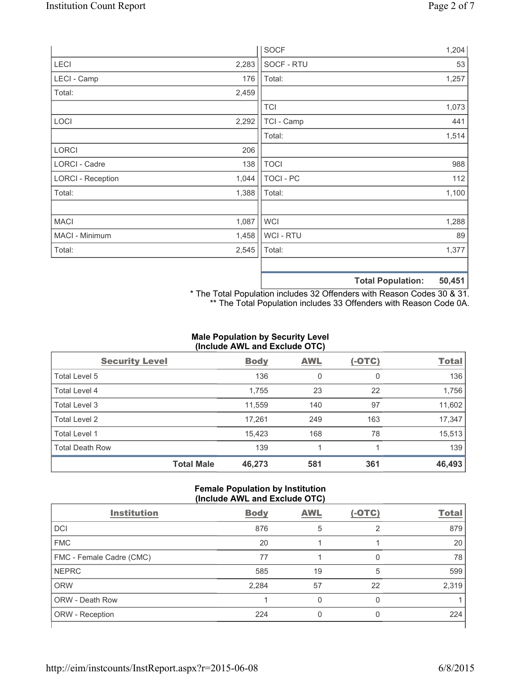|                          |       | <b>SOCF</b>      | 1,204                       |
|--------------------------|-------|------------------|-----------------------------|
| LECI                     | 2,283 | SOCF - RTU       | 53                          |
| LECI - Camp              | 176   | Total:           | 1,257                       |
| Total:                   | 2,459 |                  |                             |
|                          |       | <b>TCI</b>       | 1,073                       |
| LOCI                     | 2,292 | TCI - Camp       | 441                         |
|                          |       | Total:           | 1,514                       |
| <b>LORCI</b>             | 206   |                  |                             |
| LORCI - Cadre            | 138   | <b>TOCI</b>      | 988                         |
| <b>LORCI - Reception</b> | 1,044 | <b>TOCI - PC</b> | 112                         |
| Total:                   | 1,388 | Total:           | 1,100                       |
|                          |       |                  |                             |
| <b>MACI</b>              | 1,087 | <b>WCI</b>       | 1,288                       |
| MACI - Minimum           | 1,458 | WCI - RTU        | 89                          |
| Total:                   | 2,545 | Total:           | 1,377                       |
|                          |       |                  | EN AEA<br>Total Dopulation: |

**Total Population: 50,451**

\* The Total Population includes 32 Offenders with Reason Codes 30 & 31. \*\* The Total Population includes 33 Offenders with Reason Code 0A.

# **Male Population by Security Level (Include AWL and Exclude OTC)**

| <b>Security Level</b>  |                   | <b>Body</b> | <b>AWL</b> | $(-OTC)$ | <b>Total</b> |
|------------------------|-------------------|-------------|------------|----------|--------------|
| Total Level 5          |                   | 136         | 0          | 0        | 136          |
| Total Level 4          |                   | 1,755       | 23         | 22       | 1,756        |
| Total Level 3          |                   | 11,559      | 140        | 97       | 11,602       |
| Total Level 2          |                   | 17,261      | 249        | 163      | 17,347       |
| Total Level 1          |                   | 15,423      | 168        | 78       | 15,513       |
| <b>Total Death Row</b> |                   | 139         |            |          | 139          |
|                        | <b>Total Male</b> | 46,273      | 581        | 361      | 46,493       |

#### **Female Population by Institution (Include AWL and Exclude OTC)**

| <b>Institution</b>       | <b>Body</b> | <b>AWL</b> | $(-OTC)$ | <b>Total</b> |  |
|--------------------------|-------------|------------|----------|--------------|--|
| <b>DCI</b>               | 876         | 5          | 2        | 879          |  |
| <b>FMC</b>               | 20          |            |          | 20           |  |
| FMC - Female Cadre (CMC) | 77          |            | 0        | 78           |  |
| <b>NEPRC</b>             | 585         | 19         | 5        | 599          |  |
| <b>ORW</b>               | 2,284       | 57         | 22       | 2,319        |  |
| <b>ORW - Death Row</b>   |             |            | 0        |              |  |
| ORW - Reception          | 224         |            | O        | 224          |  |
|                          |             |            |          |              |  |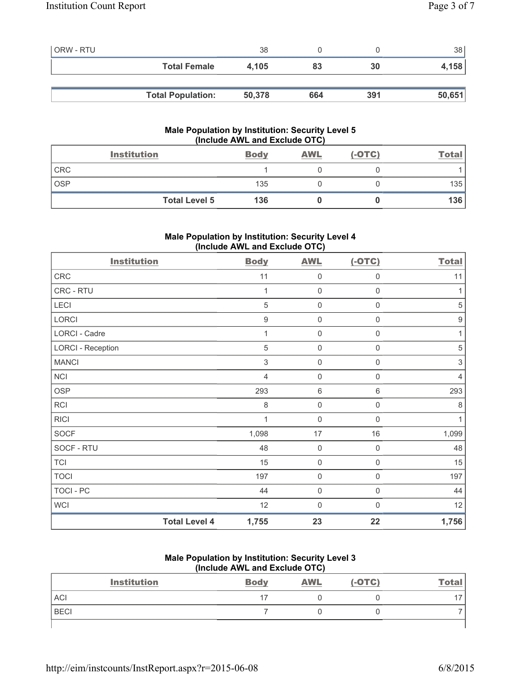| <b>ORW - RTU</b> |                          | 38     |     |     | 38 <sup>°</sup> |
|------------------|--------------------------|--------|-----|-----|-----------------|
|                  | <b>Total Female</b>      | 4.105  | 83  | 30  | 4,158           |
|                  |                          |        |     |     |                 |
|                  | <b>Total Population:</b> | 50,378 | 664 | 391 | 50,651          |

# **Male Population by Institution: Security Level 5 (Include AWL and Exclude OTC)**

|            | <b>Institution</b>   | <b>Body</b> | <b>AWL</b> | $(-OTC)$ | <b>Total</b> |
|------------|----------------------|-------------|------------|----------|--------------|
| <b>CRC</b> |                      |             |            |          |              |
| <b>OSP</b> |                      | 135         |            |          | 135          |
|            | <b>Total Level 5</b> | 136         |            |          | 136          |

# **Male Population by Institution: Security Level 4 (Include AWL and Exclude OTC)**

| <b>Institution</b>       |                      | <b>Body</b>    | <b>AWL</b>          | $(-OTC)$            | <b>Total</b>   |
|--------------------------|----------------------|----------------|---------------------|---------------------|----------------|
| ${\sf CRC}$              |                      | 11             | 0                   | 0                   | 11             |
| CRC - RTU                |                      | 1              | 0                   | 0                   | 1              |
| LECI                     |                      | 5              | 0                   | $\mathsf{O}\xspace$ | $\sqrt{5}$     |
| LORCI                    |                      | $\mathsf g$    | $\mathsf{O}\xspace$ | 0                   | 9              |
| LORCI - Cadre            |                      | 1              | $\mathsf{O}\xspace$ | $\mathsf{O}\xspace$ | 1              |
| <b>LORCI - Reception</b> |                      | 5              | $\mathsf{O}\xspace$ | $\mathsf{O}\xspace$ | $\sqrt{5}$     |
| <b>MANCI</b>             |                      | $\mathsf 3$    | $\mathbf 0$         | $\boldsymbol{0}$    | $\sqrt{3}$     |
| <b>NCI</b>               |                      | $\overline{4}$ | $\mathsf{O}\xspace$ | $\mathsf{O}\xspace$ | $\overline{4}$ |
| <b>OSP</b>               |                      | 293            | 6                   | $\,6\,$             | 293            |
| <b>RCI</b>               |                      | 8              | $\mathsf{O}\xspace$ | 0                   | 8              |
| <b>RICI</b>              |                      | 1              | $\mathbf 0$         | 0                   | 1              |
| <b>SOCF</b>              |                      | 1,098          | 17                  | 16                  | 1,099          |
| SOCF - RTU               |                      | 48             | $\mathbf 0$         | $\mathbf 0$         | 48             |
| <b>TCI</b>               |                      | 15             | $\mathbf 0$         | $\mathbf 0$         | 15             |
| <b>TOCI</b>              |                      | 197            | $\mathbf 0$         | $\mathbf 0$         | 197            |
| TOCI - PC                |                      | 44             | $\mathsf{O}\xspace$ | $\mathbf 0$         | 44             |
| <b>WCI</b>               |                      | 12             | $\mathbf 0$         | $\Omega$            | 12             |
|                          | <b>Total Level 4</b> | 1,755          | 23                  | 22                  | 1,756          |

## **Male Population by Institution: Security Level 3 (Include AWL and Exclude OTC)**

| <b>Institution</b> | <b>Body</b> | <b>AWL</b> | $(-OTC)$ | <b>Total</b> |
|--------------------|-------------|------------|----------|--------------|
| <b>ACI</b>         |             |            |          |              |
| <b>BECI</b>        |             |            |          |              |
|                    |             |            |          |              |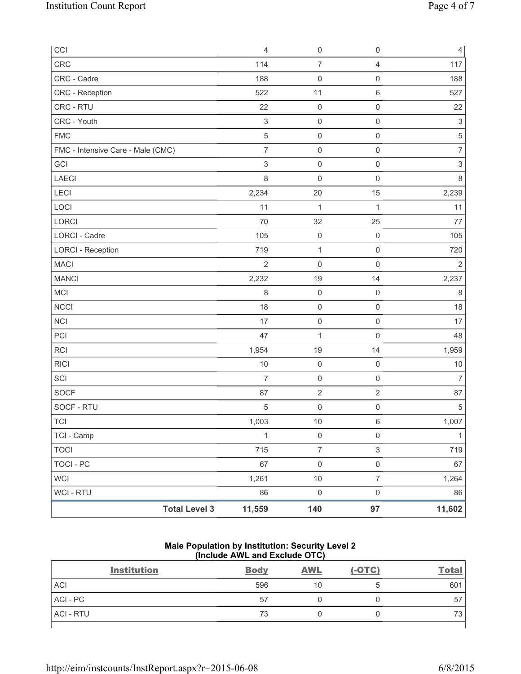| CCI                               | $\overline{4}$            | $\mathsf{O}\xspace$ | $\mathsf 0$               | $\overline{4}$            |
|-----------------------------------|---------------------------|---------------------|---------------------------|---------------------------|
| CRC                               | 114                       | $\overline{7}$      | $\overline{4}$            | 117                       |
| CRC - Cadre                       | 188                       | $\mathsf{O}\xspace$ | $\mathsf 0$               | 188                       |
| CRC - Reception                   | 522                       | 11                  | $\,6\,$                   | 527                       |
| CRC - RTU                         | 22                        | $\mathsf{O}\xspace$ | $\mathsf 0$               | 22                        |
| CRC - Youth                       | $\mathsf 3$               | $\mathsf{O}\xspace$ | $\mathsf 0$               | $\ensuremath{\mathsf{3}}$ |
| <b>FMC</b>                        | $\sqrt{5}$                | $\mathsf 0$         | $\mathsf 0$               | $\,$ 5 $\,$               |
| FMC - Intensive Care - Male (CMC) | $\overline{7}$            | $\mathsf 0$         | $\mathsf 0$               | $\overline{7}$            |
| GCI                               | $\ensuremath{\mathsf{3}}$ | $\mathsf{O}\xspace$ | $\mathsf 0$               | $\ensuremath{\mathsf{3}}$ |
| LAECI                             | $\,8\,$                   | $\mathsf{O}\xspace$ | $\mathsf 0$               | $\,8\,$                   |
| LECI                              | 2,234                     | 20                  | 15                        | 2,239                     |
| LOCI                              | 11                        | $\mathbf{1}$        | 1                         | 11                        |
| LORCI                             | 70                        | 32                  | 25                        | 77                        |
| <b>LORCI - Cadre</b>              | 105                       | $\mathsf{O}\xspace$ | $\mathsf 0$               | 105                       |
| <b>LORCI - Reception</b>          | 719                       | $\mathbf{1}$        | $\mathsf 0$               | 720                       |
| <b>MACI</b>                       | $\overline{2}$            | $\mathbf 0$         | $\mathsf{O}\xspace$       | $\overline{2}$            |
| <b>MANCI</b>                      | 2,232                     | 19                  | 14                        | 2,237                     |
| MCI                               | 8                         | $\mathsf{O}\xspace$ | $\mathsf 0$               | 8                         |
| <b>NCCI</b>                       | 18                        | $\mathsf{O}\xspace$ | $\mathsf 0$               | 18                        |
| <b>NCI</b>                        | 17                        | $\mathsf 0$         | $\mathsf 0$               | 17                        |
| PCI                               | 47                        | 1                   | $\mathbf 0$               | 48                        |
| <b>RCI</b>                        | 1,954                     | 19                  | 14                        | 1,959                     |
| <b>RICI</b>                       | 10                        | $\mathsf{O}\xspace$ | $\mathsf 0$               | 10                        |
| SCI                               | $\overline{7}$            | $\mathsf 0$         | $\mathsf{O}\xspace$       | $\overline{7}$            |
| SOCF                              | 87                        | $\mathbf 2$         | $\sqrt{2}$                | 87                        |
| SOCF - RTU                        | 5                         | $\mathsf{O}\xspace$ | $\mathsf{O}\xspace$       | $\sqrt{5}$                |
| <b>TCI</b>                        | 1,003                     | 10                  | $\,6\,$                   | 1,007                     |
| TCI - Camp                        | $\mathbf{1}$              | $\mathsf{O}\xspace$ | $\mathsf{O}\xspace$       | $\mathbf{1}$              |
| <b>TOCI</b>                       | 715                       | $\overline{7}$      | $\ensuremath{\mathsf{3}}$ | 719                       |
| <b>TOCI - PC</b>                  | 67                        | $\mathsf{O}\xspace$ | $\mathsf{O}\xspace$       | 67                        |
| <b>WCI</b>                        | 1,261                     | $10$                | $\boldsymbol{7}$          | 1,264                     |
| <b>WCI - RTU</b>                  | 86                        | $\mathsf{O}\xspace$ | $\mathsf{O}\xspace$       | 86                        |
| <b>Total Level 3</b>              | 11,559                    | 140                 | 97                        | 11,602                    |

## **Male Population by Institution: Security Level 2 (Include AWL and Exclude OTC)**

| <b>Institution</b> | <b>Body</b> | <b>AWL</b> | $(-OTC)$ | <b>Total</b> |
|--------------------|-------------|------------|----------|--------------|
| <b>ACI</b>         | 596         | 10         |          | 601          |
| ACI - PC           | 57          |            |          | 57           |
| <b>ACI - RTU</b>   | 73          |            |          | 70<br>ూ      |
|                    |             |            |          |              |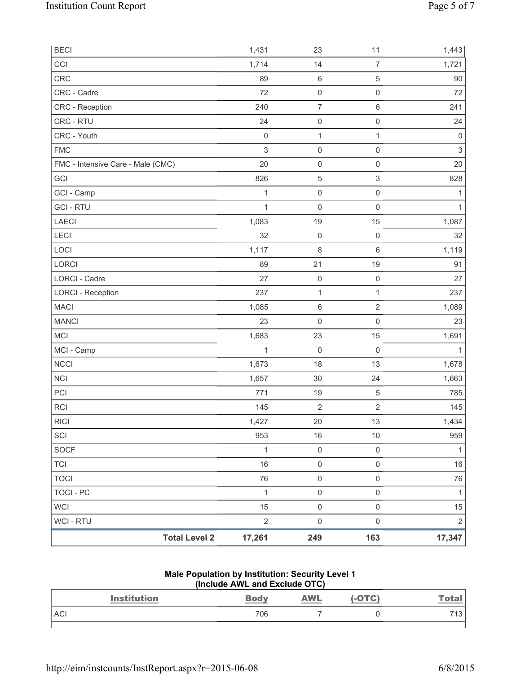| <b>Total Level 2</b>              | 17,261              | 249                                     | 163                                | 17,347                    |
|-----------------------------------|---------------------|-----------------------------------------|------------------------------------|---------------------------|
| WCI - RTU                         | $\sqrt{2}$          | $\mathsf{O}\xspace$                     | $\mathsf{O}\xspace$                | $\sqrt{2}$                |
| <b>WCI</b>                        | 15                  | $\mathsf 0$                             | $\mathsf{O}\xspace$                | 15                        |
| <b>TOCI - PC</b>                  | $\mathbf{1}$        | $\mathsf 0$                             | $\mathsf{O}\xspace$                | $\mathbf{1}$              |
| <b>TOCI</b>                       | 76                  | $\mathsf{O}\xspace$                     | $\mathsf{O}\xspace$                | 76                        |
| <b>TCI</b>                        | 16                  | $\mathsf 0$                             | $\mathsf{O}\xspace$                | 16                        |
| SOCF                              | $\mathbf{1}$        | $\mathsf{O}\xspace$                     | $\mathsf{O}\xspace$                | $\mathbf{1}$              |
| SCI                               | 953                 | 16                                      | $10$                               | 959                       |
| <b>RICI</b>                       | 1,427               | 20                                      | 13                                 | 1,434                     |
| RCI                               | 145                 | $\sqrt{2}$                              | $\overline{2}$                     | 145                       |
| PCI                               | 771                 | 19                                      | $\,$ 5 $\,$                        | 785                       |
| <b>NCI</b>                        | 1,657               | 30                                      | 24                                 | 1,663                     |
| <b>NCCI</b>                       | 1,673               | 18                                      | 13                                 | 1,678                     |
| MCI - Camp                        | 1                   | $\mathbf 0$                             | $\mathsf 0$                        | $\mathbf{1}$              |
| <b>MCI</b>                        | 1,683               | 23                                      | 15                                 | 1,691                     |
| <b>MANCI</b>                      | 23                  | $\mathsf 0$                             | $\mathsf{O}\xspace$                | 23                        |
| <b>MACI</b>                       | 1,085               | $\,6\,$                                 | $\overline{2}$                     | 1,089                     |
| <b>LORCI - Reception</b>          | 237                 | $\mathbf{1}$                            | 1                                  | 237                       |
| LORCI - Cadre                     | 27                  | $\mathsf 0$                             | $\mathsf 0$                        | 27                        |
| LORCI                             | 89                  | 21                                      | 19                                 | 91                        |
| LOCI                              | 1,117               | $\,8\,$                                 | 6                                  | 1,119                     |
| LECI                              | 32                  | $\mathsf 0$                             | $\mathsf{O}\xspace$                | 32                        |
| <b>LAECI</b>                      | 1,083               | 19                                      | 15                                 | 1,087                     |
| <b>GCI-RTU</b>                    | 1                   | $\mathbf 0$                             | $\mathsf{O}\xspace$                | $\mathbf{1}$              |
| GCI - Camp                        | 1                   | $\mathsf{O}\xspace$                     | $\mathsf{O}\xspace$                | 1                         |
| GCI                               | 826                 | $\,$ 5 $\,$                             | $\mathsf 3$                        | 828                       |
| FMC - Intensive Care - Male (CMC) | 20                  | $\mathsf 0$                             | $\mathsf{O}\xspace$                | 20                        |
| <b>FMC</b>                        | $\,$ 3 $\,$         | $\mathsf{O}\xspace$                     | $\mathsf{O}\xspace$                | $\ensuremath{\mathsf{3}}$ |
| CRC - Youth                       | $\mathsf{O}\xspace$ | $\mathbf{1}$                            | $\mathbf{1}$                       | $\mathsf{O}\xspace$       |
| CRC - RTU                         | 24                  | $\mathsf 0$                             | $\mathsf{O}\xspace$                | 24                        |
| CRC - Cadre<br>CRC - Reception    | 240                 | $\mathsf{O}\xspace$<br>$\boldsymbol{7}$ | 6                                  | 72<br>241                 |
| CRC                               | 89<br>72            | $\,6\,$                                 | $\,$ 5 $\,$<br>$\mathsf{O}\xspace$ | $90\,$                    |
| CCI                               | 1,714               | 14                                      | $\overline{7}$                     | 1,721                     |
| <b>BECI</b>                       | 1,431               | 23                                      | 11                                 | 1,443                     |
|                                   |                     |                                         |                                    |                           |

#### **Male Population by Institution: Security Level 1 (Include AWL and Exclude OTC)**

| <b>Institution</b> | <b>Body</b> | <u>AWL</u> | -OTC) | <b>Total</b> |
|--------------------|-------------|------------|-------|--------------|
| <b>ACI</b>         | 706         |            |       | 712<br>ن '   |
|                    |             |            |       |              |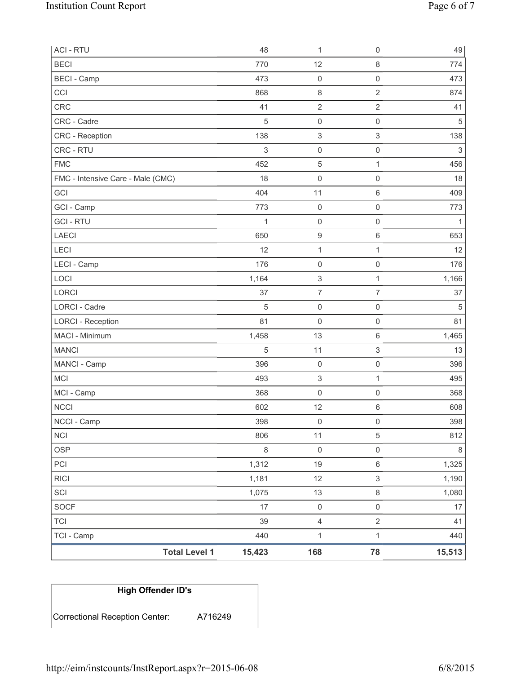| <b>ACI - RTU</b>                  | 48         | 1                         | $\mathsf 0$               | 49          |
|-----------------------------------|------------|---------------------------|---------------------------|-------------|
| <b>BECI</b>                       | 770        | 12                        | $\,8\,$                   | 774         |
| <b>BECI</b> - Camp                | 473        | $\mathsf 0$               | $\mathbf 0$               | 473         |
| CCI                               | 868        | 8                         | $\overline{2}$            | 874         |
| <b>CRC</b>                        | 41         | $\overline{2}$            | $\overline{2}$            | 41          |
| CRC - Cadre                       | $\sqrt{5}$ | 0                         | $\mathsf 0$               | 5           |
| CRC - Reception                   | 138        | $\ensuremath{\mathsf{3}}$ | $\ensuremath{\mathsf{3}}$ | 138         |
| CRC - RTU                         | $\sqrt{3}$ | 0                         | $\mathsf 0$               | $\mathsf 3$ |
| <b>FMC</b>                        | 452        | $\mathbf 5$               | $\mathbf{1}$              | 456         |
| FMC - Intensive Care - Male (CMC) | 18         | 0                         | $\mathsf{O}\xspace$       | 18          |
| GCI                               | 404        | 11                        | $\,6\,$                   | 409         |
| GCI - Camp                        | 773        | 0                         | $\mathbf 0$               | 773         |
| <b>GCI-RTU</b>                    | 1          | $\mathsf 0$               | $\mathsf 0$               | 1           |
| <b>LAECI</b>                      | 650        | $\boldsymbol{9}$          | $\,6\,$                   | 653         |
| <b>LECI</b>                       | 12         | 1                         | $\mathbf{1}$              | 12          |
| LECI - Camp                       | 176        | $\mathsf{O}\xspace$       | $\mathsf{O}\xspace$       | 176         |
| LOCI                              | 1,164      | $\ensuremath{\mathsf{3}}$ | $\mathbf{1}$              | 1,166       |
| LORCI                             | 37         | $\overline{7}$            | $\overline{7}$            | 37          |
| LORCI - Cadre                     | $\sqrt{5}$ | $\mathsf 0$               | $\mathsf 0$               | 5           |
| <b>LORCI - Reception</b>          | 81         | 0                         | $\mathsf{O}\xspace$       | 81          |
| MACI - Minimum                    | 1,458      | 13                        | $\,6\,$                   | 1,465       |
| <b>MANCI</b>                      | $\sqrt{5}$ | 11                        | $\ensuremath{\mathsf{3}}$ | 13          |
| MANCI - Camp                      | 396        | $\mathsf 0$               | $\mathsf{O}\xspace$       | 396         |
| MCI                               | 493        | $\ensuremath{\mathsf{3}}$ | $\mathbf{1}$              | 495         |
| MCI - Camp                        | 368        | $\mathsf 0$               | $\mathsf{O}\xspace$       | 368         |
| <b>NCCI</b>                       | 602        | 12                        | $\,6\,$                   | 608         |
| NCCI - Camp                       | 398        | 0                         | $\mathsf 0$               | 398         |
| <b>NCI</b>                        | 806        | 11                        | 5                         | 812         |
| <b>OSP</b>                        | $\,8\,$    | $\mathsf{O}\xspace$       | $\mathsf{O}\xspace$       | $\,8\,$     |
| PCI                               | 1,312      | 19                        | $\,6\,$                   | 1,325       |
| <b>RICI</b>                       | 1,181      | 12                        | $\ensuremath{\mathsf{3}}$ | 1,190       |
| SCI                               | 1,075      | 13                        | $\,8\,$                   | 1,080       |
| <b>SOCF</b>                       | 17         | $\mathsf{O}\xspace$       | $\mathsf 0$               | 17          |
| <b>TCI</b>                        | 39         | 4                         | $\sqrt{2}$                | 41          |
| TCI - Camp                        | 440        | $\mathbf 1$               | $\mathbf{1}$              | 440         |
| <b>Total Level 1</b>              | 15,423     | 168                       | 78                        | 15,513      |

# **High Offender ID's**  Correctional Reception Center: A716249